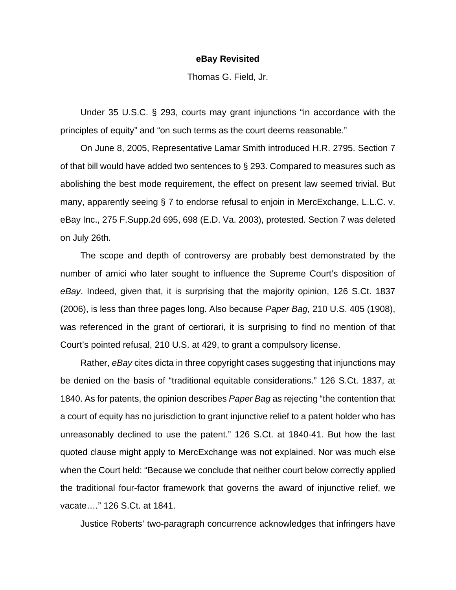## **eBay Revisited**

Thomas G. Field, Jr.

 Under 35 U.S.C. § 293, courts may grant injunctions "in accordance with the principles of equity" and "on such terms as the court deems reasonable."

 On June 8, 2005, Representative Lamar Smith introduced H.R. 2795. Section 7 of that bill would have added two sentences to § 293. Compared to measures such as abolishing the best mode requirement, the effect on present law seemed trivial. But many, apparently seeing § 7 to endorse refusal to enjoin in MercExchange, L.L.C. v. eBay Inc., 275 F.Supp.2d 695, 698 (E.D. Va. 2003), protested. Section 7 was deleted on July 26th.

 The scope and depth of controversy are probably best demonstrated by the number of amici who later sought to influence the Supreme Court's disposition of *eBay*. Indeed, given that, it is surprising that the majority opinion, 126 S.Ct. 1837 (2006), is less than three pages long. Also because *Paper Bag,* 210 U.S. 405 (1908), was referenced in the grant of certiorari, it is surprising to find no mention of that Court's pointed refusal, 210 U.S. at 429, to grant a compulsory license.

 Rather, *eBay* cites dicta in three copyright cases suggesting that injunctions may be denied on the basis of "traditional equitable considerations." 126 S.Ct. 1837, at 1840. As for patents, the opinion describes *Paper Bag* as rejecting "the contention that a court of equity has no jurisdiction to grant injunctive relief to a patent holder who has unreasonably declined to use the patent." 126 S.Ct. at 1840-41. But how the last quoted clause might apply to MercExchange was not explained. Nor was much else when the Court held: "Because we conclude that neither court below correctly applied the traditional four-factor framework that governs the award of injunctive relief, we vacate…." 126 S.Ct. at 1841.

Justice Roberts' two-paragraph concurrence acknowledges that infringers have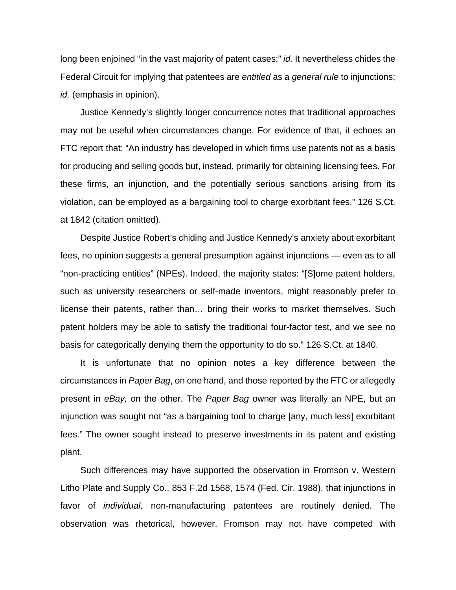long been enjoined "in the vast majority of patent cases;" *id.* It nevertheless chides the Federal Circuit for implying that patentees are *entitled* as a *general rule* to injunctions; *id.* (emphasis in opinion).

 Justice Kennedy's slightly longer concurrence notes that traditional approaches may not be useful when circumstances change. For evidence of that, it echoes an FTC report that: "An industry has developed in which firms use patents not as a basis for producing and selling goods but, instead, primarily for obtaining licensing fees. For these firms, an injunction, and the potentially serious sanctions arising from its violation, can be employed as a bargaining tool to charge exorbitant fees." 126 S.Ct. at 1842 (citation omitted).

 Despite Justice Robert's chiding and Justice Kennedy's anxiety about exorbitant fees, no opinion suggests a general presumption against injunctions — even as to all "non-practicing entities" (NPEs). Indeed, the majority states: "[S]ome patent holders, such as university researchers or self-made inventors, might reasonably prefer to license their patents, rather than… bring their works to market themselves. Such patent holders may be able to satisfy the traditional four-factor test, and we see no basis for categorically denying them the opportunity to do so." 126 S.Ct. at 1840.

 It is unfortunate that no opinion notes a key difference between the circumstances in *Paper Bag*, on one hand, and those reported by the FTC or allegedly present in *eBay,* on the other. The *Paper Bag* owner was literally an NPE, but an injunction was sought not "as a bargaining tool to charge [any, much less] exorbitant fees." The owner sought instead to preserve investments in its patent and existing plant.

 Such differences may have supported the observation in Fromson v. Western Litho Plate and Supply Co., 853 F.2d 1568, 1574 (Fed. Cir. 1988), that injunctions in favor of *individual,* non-manufacturing patentees are routinely denied. The observation was rhetorical, however. Fromson may not have competed with